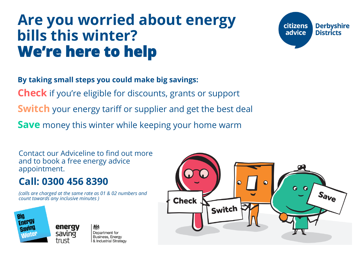# **Are you worried about energy bills this winter? We're here to help**



**By taking small steps you could make big savings: Check** if you're eligible for discounts, grants or support **Switch** your energy tariff or supplier and get the best deal **Save** money this winter while keeping your home warm

Contact our Adviceline to find out more and to book a free energy advice appointment.

#### **Call: 0300 456 8390**

*(calls are charged at the same rate as 01 & 02 numbers and count towards any inclusive minutes )*



糖 Department for Business, Energy & Industrial Strategy